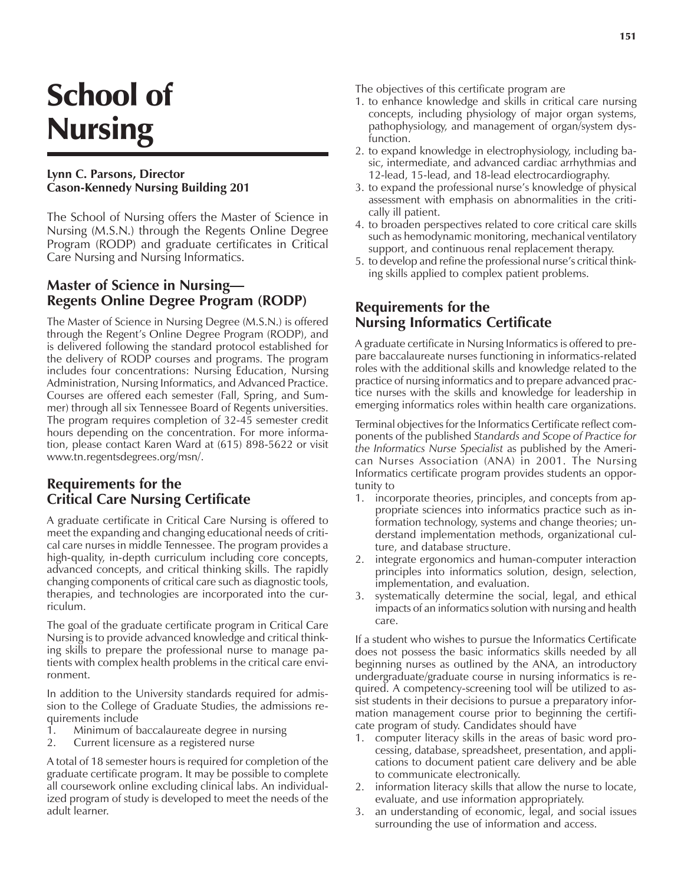# School of Nursing

#### **Lynn C. Parsons, Director Cason-Kennedy Nursing Building 201**

The School of Nursing offers the Master of Science in Nursing (M.S.N.) through the Regents Online Degree Program (RODP) and graduate certificates in Critical Care Nursing and Nursing Informatics.

#### **Master of Science in Nursing— Regents Online Degree Program (RODP)**

The Master of Science in Nursing Degree (M.S.N.) is offered through the Regent's Online Degree Program (RODP), and is delivered following the standard protocol established for the delivery of RODP courses and programs. The program includes four concentrations: Nursing Education, Nursing Administration, Nursing Informatics, and Advanced Practice. Courses are offered each semester (Fall, Spring, and Summer) through all six Tennessee Board of Regents universities. The program requires completion of 32-45 semester credit hours depending on the concentration. For more information, please contact Karen Ward at (615) 898-5622 or visit www.tn.regentsdegrees.org/msn/.

#### **Requirements for the Critical Care Nursing Certificate**

A graduate certificate in Critical Care Nursing is offered to meet the expanding and changing educational needs of critical care nurses in middle Tennessee. The program provides a high-quality, in-depth curriculum including core concepts, advanced concepts, and critical thinking skills. The rapidly changing components of critical care such as diagnostic tools, therapies, and technologies are incorporated into the curriculum.

The goal of the graduate certificate program in Critical Care Nursing is to provide advanced knowledge and critical thinking skills to prepare the professional nurse to manage patients with complex health problems in the critical care environment.

In addition to the University standards required for admission to the College of Graduate Studies, the admissions requirements include

- 1. Minimum of baccalaureate degree in nursing
- 2. Current licensure as a registered nurse

A total of 18 semester hours is required for completion of the graduate certificate program. It may be possible to complete all coursework online excluding clinical labs. An individualized program of study is developed to meet the needs of the adult learner.

The objectives of this certificate program are

- 1. to enhance knowledge and skills in critical care nursing concepts, including physiology of major organ systems, pathophysiology, and management of organ/system dysfunction.
- 2. to expand knowledge in electrophysiology, including basic, intermediate, and advanced cardiac arrhythmias and 12-lead, 15-lead, and 18-lead electrocardiography.
- 3. to expand the professional nurse's knowledge of physical assessment with emphasis on abnormalities in the critically ill patient.
- 4. to broaden perspectives related to core critical care skills such as hemodynamic monitoring, mechanical ventilatory support, and continuous renal replacement therapy.
- 5. to develop and refine the professional nurse's critical thinking skills applied to complex patient problems.

### **Requirements for the Nursing Informatics Certificate**

A graduate certificate in Nursing Informatics is offered to prepare baccalaureate nurses functioning in informatics-related roles with the additional skills and knowledge related to the practice of nursing informatics and to prepare advanced practice nurses with the skills and knowledge for leadership in emerging informatics roles within health care organizations.

Terminal objectives for the Informatics Certificate reflect components of the published *Standards and Scope of Practice for the Informatics Nurse Specialist* as published by the American Nurses Association (ANA) in 2001. The Nursing Informatics certificate program provides students an opportunity to

- 1. incorporate theories, principles, and concepts from appropriate sciences into informatics practice such as information technology, systems and change theories; understand implementation methods, organizational culture, and database structure.
- 2. integrate ergonomics and human-computer interaction principles into informatics solution, design, selection, implementation, and evaluation.
- 3. systematically determine the social, legal, and ethical impacts of an informatics solution with nursing and health care.

If a student who wishes to pursue the Informatics Certificate does not possess the basic informatics skills needed by all beginning nurses as outlined by the ANA, an introductory undergraduate/graduate course in nursing informatics is required. A competency-screening tool will be utilized to assist students in their decisions to pursue a preparatory information management course prior to beginning the certificate program of study. Candidates should have

- 1. computer literacy skills in the areas of basic word processing, database, spreadsheet, presentation, and applications to document patient care delivery and be able to communicate electronically.
- 2. information literacy skills that allow the nurse to locate, evaluate, and use information appropriately.
- 3. an understanding of economic, legal, and social issues surrounding the use of information and access.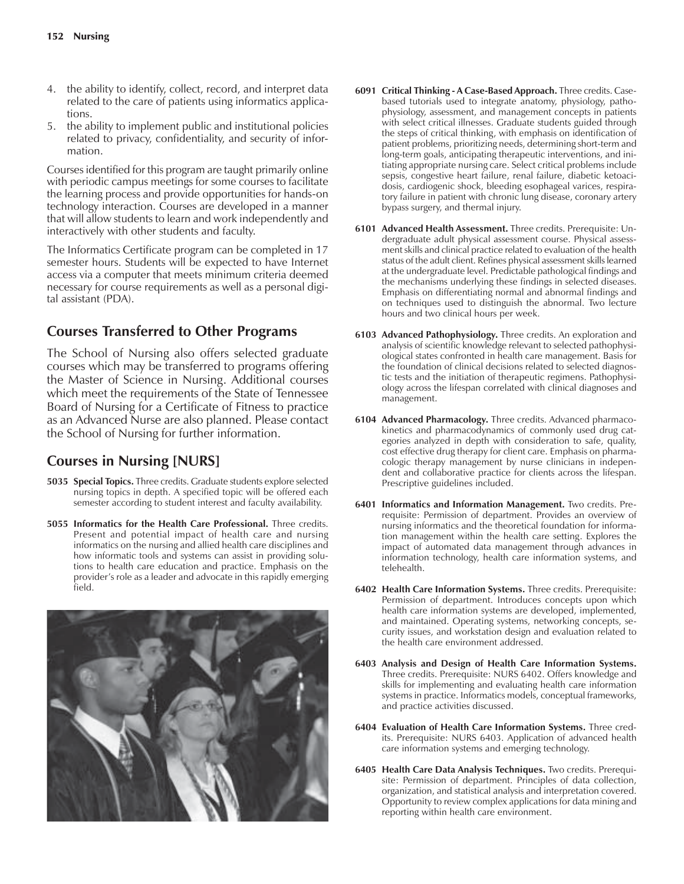- 4. the ability to identify, collect, record, and interpret data related to the care of patients using informatics applications.
- 5. the ability to implement public and institutional policies related to privacy, confidentiality, and security of information.

Courses identified for this program are taught primarily online with periodic campus meetings for some courses to facilitate the learning process and provide opportunities for hands-on technology interaction. Courses are developed in a manner that will allow students to learn and work independently and interactively with other students and faculty.

The Informatics Certificate program can be completed in 17 semester hours. Students will be expected to have Internet access via a computer that meets minimum criteria deemed necessary for course requirements as well as a personal digital assistant (PDA).

## **Courses Transferred to Other Programs**

The School of Nursing also offers selected graduate courses which may be transferred to programs offering the Master of Science in Nursing. Additional courses which meet the requirements of the State of Tennessee Board of Nursing for a Certificate of Fitness to practice as an Advanced Nurse are also planned. Please contact the School of Nursing for further information.

# **Courses in Nursing [NURS]**

- **5035 Special Topics.** Three credits. Graduate students explore selected nursing topics in depth. A specified topic will be offered each semester according to student interest and faculty availability.
- **5055 Informatics for the Health Care Professional.** Three credits. Present and potential impact of health care and nursing informatics on the nursing and allied health care disciplines and how informatic tools and systems can assist in providing solutions to health care education and practice. Emphasis on the provider's role as a leader and advocate in this rapidly emerging field.



- **6091 Critical Thinking A Case-Based Approach.** Three credits. Casebased tutorials used to integrate anatomy, physiology, pathophysiology, assessment, and management concepts in patients with select critical illnesses. Graduate students guided through the steps of critical thinking, with emphasis on identification of patient problems, prioritizing needs, determining short-term and long-term goals, anticipating therapeutic interventions, and initiating appropriate nursing care. Select critical problems include sepsis, congestive heart failure, renal failure, diabetic ketoacidosis, cardiogenic shock, bleeding esophageal varices, respiratory failure in patient with chronic lung disease, coronary artery bypass surgery, and thermal injury.
- **6101 Advanced Health Assessment.** Three credits. Prerequisite: Undergraduate adult physical assessment course. Physical assessment skills and clinical practice related to evaluation of the health status of the adult client. Refines physical assessment skills learned at the undergraduate level. Predictable pathological findings and the mechanisms underlying these findings in selected diseases. Emphasis on differentiating normal and abnormal findings and on techniques used to distinguish the abnormal. Two lecture hours and two clinical hours per week.
- **6103 Advanced Pathophysiology.** Three credits. An exploration and analysis of scientific knowledge relevant to selected pathophysiological states confronted in health care management. Basis for the foundation of clinical decisions related to selected diagnostic tests and the initiation of therapeutic regimens. Pathophysiology across the lifespan correlated with clinical diagnoses and management.
- **6104 Advanced Pharmacology.** Three credits. Advanced pharmacokinetics and pharmacodynamics of commonly used drug categories analyzed in depth with consideration to safe, quality, cost effective drug therapy for client care. Emphasis on pharmacologic therapy management by nurse clinicians in independent and collaborative practice for clients across the lifespan. Prescriptive guidelines included.
- **6401 Informatics and Information Management.** Two credits. Prerequisite: Permission of department. Provides an overview of nursing informatics and the theoretical foundation for information management within the health care setting. Explores the impact of automated data management through advances in information technology, health care information systems, and telehealth.
- **6402 Health Care Information Systems.** Three credits. Prerequisite: Permission of department. Introduces concepts upon which health care information systems are developed, implemented, and maintained. Operating systems, networking concepts, security issues, and workstation design and evaluation related to the health care environment addressed.
- **6403 Analysis and Design of Health Care Information Systems.** Three credits. Prerequisite: NURS 6402. Offers knowledge and skills for implementing and evaluating health care information systems in practice. Informatics models, conceptual frameworks, and practice activities discussed.
- **6404 Evaluation of Health Care Information Systems.** Three credits. Prerequisite: NURS 6403. Application of advanced health care information systems and emerging technology.
- **6405 Health Care Data Analysis Techniques.** Two credits. Prerequisite: Permission of department. Principles of data collection, organization, and statistical analysis and interpretation covered. Opportunity to review complex applications for data mining and reporting within health care environment.